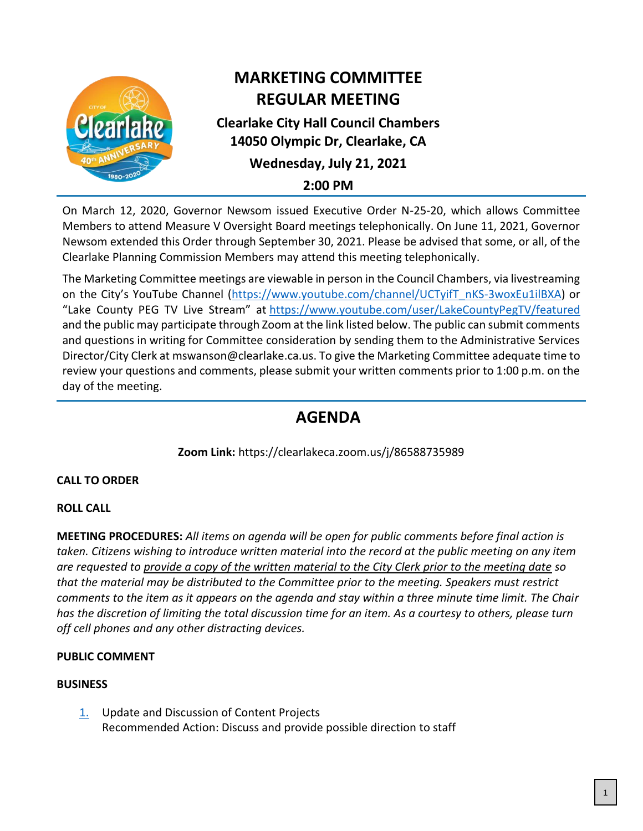

# **MARKETING COMMITTEE REGULAR MEETING**

# **Clearlake City Hall Council Chambers 14050 Olympic Dr, Clearlake, CA**

# **Wednesday, July 21, 2021**

**2:00 PM**

On March 12, 2020, Governor Newsom issued Executive Order N-25-20, which allows Committee Members to attend Measure V Oversight Board meetings telephonically. On June 11, 2021, Governor Newsom extended this Order through September 30, 2021. Please be advised that some, or all, of the Clearlake Planning Commission Members may attend this meeting telephonically.

The Marketing Committee meetings are viewable in person in the Council Chambers, via livestreaming on the City's YouTube Channel ([https://www.youtube.com/channel/UCTyifT\\_nKS-3woxEu1ilBXA\)](https://www.youtube.com/channel/UCTyifT_nKS-3woxEu1ilBXA) or "Lake County PEG TV Live Stream" at <https://www.youtube.com/user/LakeCountyPegTV/featured> and the public may participate through Zoom at the link listed below. The public can submit comments and questions in writing for Committee consideration by sending them to the Administrative Services Director/City Clerk at mswanson@clearlake.ca.us. To give the Marketing Committee adequate time to review your questions and comments, please submit your written comments prior to 1:00 p.m. on the day of the meeting.

# **AGENDA**

**Zoom Link:** https://clearlakeca.zoom.us/j/86588735989

## **CALL TO ORDER**

## **ROLL CALL**

**MEETING PROCEDURES:** *All items on agenda will be open for public comments before final action is taken. Citizens wishing to introduce written material into the record at the public meeting on any item are requested to provide a copy of the written material to the City Clerk prior to the meeting date so that the material may be distributed to the Committee prior to the meeting. Speakers must restrict comments to the item as it appears on the agenda and stay within a three minute time limit. The Chair has the discretion of limiting the total discussion time for an item. As a courtesy to others, please turn off cell phones and any other distracting devices.*

## **PUBLIC COMMENT**

## **BUSINESS**

[1.](#page-2-0) Update and Discussion of Content Projects Recommended Action: Discuss and provide possible direction to staff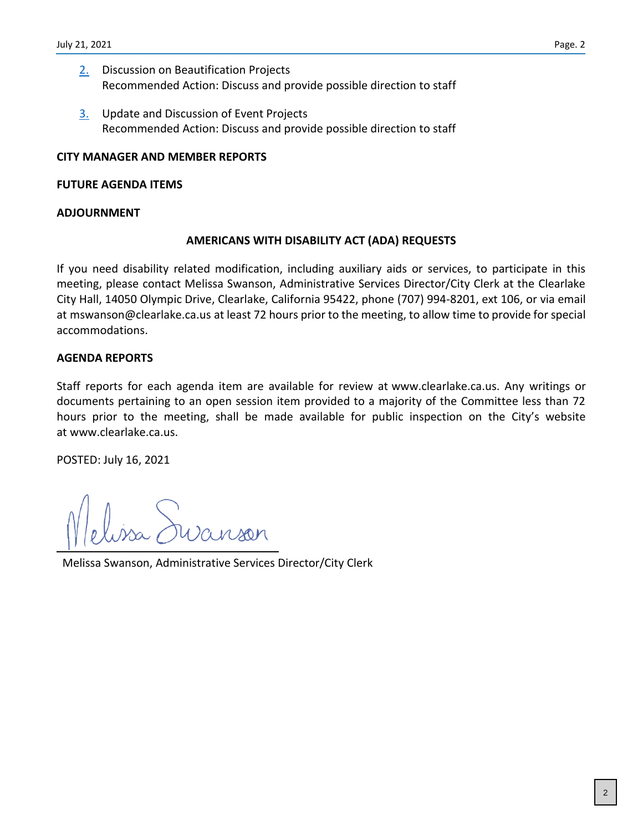- [2.](#page-3-0) Discussion on Beautification Projects Recommended Action: Discuss and provide possible direction to staff
- [3.](#page-4-0) Update and Discussion of Event Projects Recommended Action: Discuss and provide possible direction to staff

## **CITY MANAGER AND MEMBER REPORTS**

### **FUTURE AGENDA ITEMS**

#### **ADJOURNMENT**

### **AMERICANS WITH DISABILITY ACT (ADA) REQUESTS**

If you need disability related modification, including auxiliary aids or services, to participate in this meeting, please contact Melissa Swanson, Administrative Services Director/City Clerk at the Clearlake City Hall, 14050 Olympic Drive, Clearlake, California 95422, phone (707) 994-8201, ext 106, or via email at mswanson@clearlake.ca.us at least 72 hours prior to the meeting, to allow time to provide for special accommodations.

### **AGENDA REPORTS**

Staff reports for each agenda item are available for review at www.clearlake.ca.us. Any writings or documents pertaining to an open session item provided to a majority of the Committee less than 72 hours prior to the meeting, shall be made available for public inspection on the City's website at www.clearlake.ca.us.

POSTED: July 16, 2021

Melissa Swanson, Administrative Services Director/City Clerk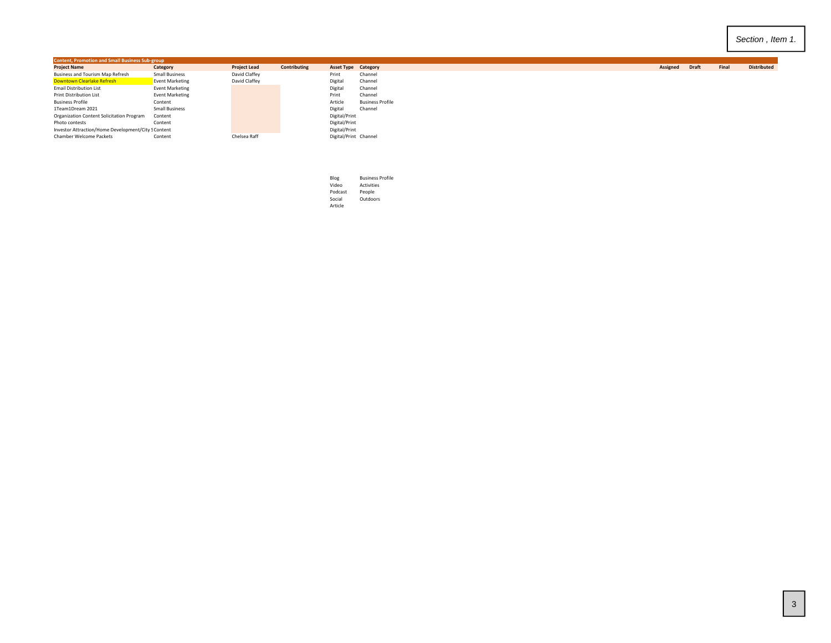<span id="page-2-0"></span>

| <b>Content, Promotion and Small Business Sub-group</b> |                        |                     |              |                       |                            |          |              |
|--------------------------------------------------------|------------------------|---------------------|--------------|-----------------------|----------------------------|----------|--------------|
| <b>Project Name</b>                                    | Category               | <b>Project Lead</b> | Contributing |                       | <b>Asset Type Category</b> | Assigned | <b>Draft</b> |
| Business and Tourism Map Refresh                       | <b>Small Business</b>  | David Claffey       |              | Print                 | Channel                    |          |              |
| <b>Downtown Clearlake Refresh</b>                      | Event Marketing        | David Claffey       |              | Digital               | Channel                    |          |              |
| <b>Email Distribution List</b>                         | <b>Event Marketing</b> |                     |              | Digital               | Channel                    |          |              |
| Print Distribution List                                | <b>Event Marketing</b> |                     |              | Print                 | Channel                    |          |              |
| <b>Business Profile</b>                                | Content                |                     |              | Article               | <b>Business Profile</b>    |          |              |
| 1Team1Dream 2021                                       | <b>Small Business</b>  |                     |              | Digital               | Channel                    |          |              |
| Organization Content Solicitation Program              | Content                |                     |              | Digital/Print         |                            |          |              |
| Photo contests                                         | Content                |                     |              | Digital/Print         |                            |          |              |
| Investor Attraction/Home Development/City S Content    |                        |                     |              | Digital/Print         |                            |          |              |
| Chamber Welcome Packets                                | Content                | Chelsea Raff        |              | Digital/Print Channel |                            |          |              |
|                                                        |                        |                     |              |                       |                            |          |              |

| Blog    | <b>Business Profile</b> |
|---------|-------------------------|
| Video   | <b>Activities</b>       |
| Podcast | People                  |
| Social  | Outdoors                |
| Article |                         |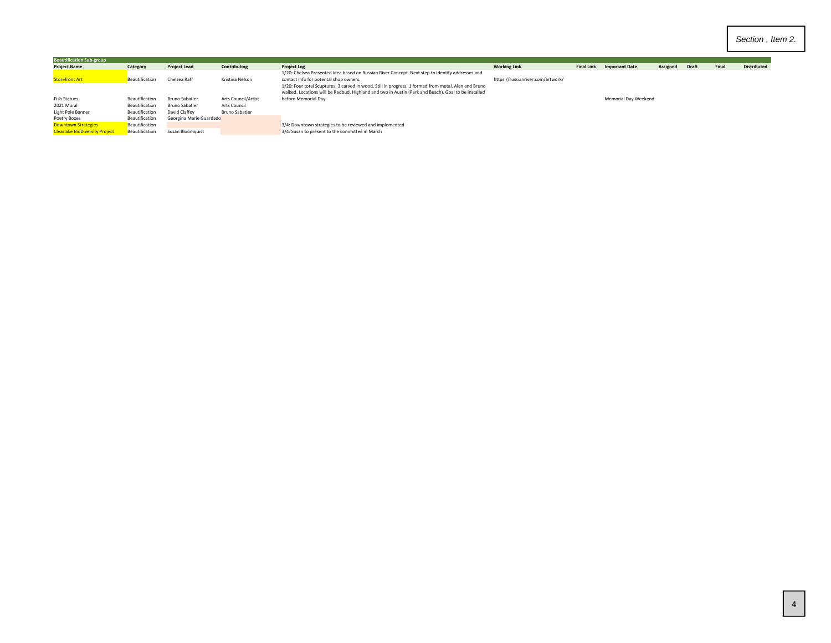<span id="page-3-0"></span>

| <b>Beautification Sub-group</b>       |                |                         |                            |                                                                                                                                                                                                             |                                   |                   |                       |          |              |       |                    |
|---------------------------------------|----------------|-------------------------|----------------------------|-------------------------------------------------------------------------------------------------------------------------------------------------------------------------------------------------------------|-----------------------------------|-------------------|-----------------------|----------|--------------|-------|--------------------|
| <b>Project Name</b>                   | Category       | <b>Project Lead</b>     | Contributing               | <b>Project Log</b>                                                                                                                                                                                          | <b>Working Link</b>               | <b>Final Link</b> | <b>Important Date</b> | Assigned | <b>Draft</b> | Final | <b>Distributed</b> |
| <b>Storefront Art</b>                 | Beautification | Chelsea Raff            | Kristina Nelson            | 1/20: Chelsea Presented Idea based on Russian River Concept. Next step to identify addresses and<br>contact info for potental shop owners.                                                                  | https://russianriver.com/artwork/ |                   |                       |          |              |       |                    |
|                                       |                |                         |                            | 1/20: Four total Scuptures, 3 carved in wood. Still in progress. 1 formed from metal. Alan and Bruno<br>walked. Locations will be Redbud, Highland and two in Austin (Park and Beach). Goal to be installed |                                   |                   |                       |          |              |       |                    |
| <b>Fish Statues</b>                   | Beautification | Bruno Sabatier          | <b>Arts Council/Artist</b> | before Memorial Dav                                                                                                                                                                                         |                                   |                   | Memorial Day Weekend  |          |              |       |                    |
| 2021 Mural                            | Beautification | Bruno Sabatier          | Arts Council               |                                                                                                                                                                                                             |                                   |                   |                       |          |              |       |                    |
| Light Pole Banner                     | Beautification | David Claffev           | <b>Bruno Sabatier</b>      |                                                                                                                                                                                                             |                                   |                   |                       |          |              |       |                    |
| Poetry Boxes                          | Beautification | Georgina Marie Guardado |                            |                                                                                                                                                                                                             |                                   |                   |                       |          |              |       |                    |
| <b>Downtown Strategies</b>            | Beautification |                         |                            | 3/4: Downtown strategies to be reviewed and implemented                                                                                                                                                     |                                   |                   |                       |          |              |       |                    |
| <b>Clearlake BioDiversity Project</b> | Beautification | Susan Bloomquist        |                            | 3/4: Susan to present to the committee in March                                                                                                                                                             |                                   |                   |                       |          |              |       |                    |